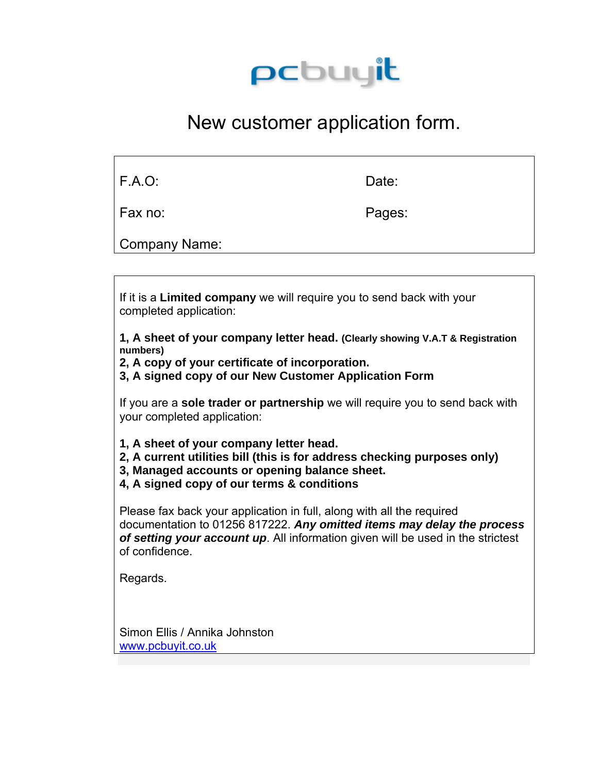

## New customer application form.

| <b>F.A.O:</b> | Date: |
|---------------|-------|
|---------------|-------|

Fax no: Pages:

Company Name:

If it is a **Limited company** we will require you to send back with your completed application:

**1, A sheet of your company letter head. (Clearly showing V.A.T & Registration numbers)** 

**2, A copy of your certificate of incorporation.** 

**3, A signed copy of our New Customer Application Form** 

If you are a **sole trader or partnership** we will require you to send back with your completed application:

- **1, A sheet of your company letter head.**
- **2, A current utilities bill (this is for address checking purposes only)**
- **3, Managed accounts or opening balance sheet.**
- **4, A signed copy of our terms & conditions**

Please fax back your application in full, along with all the required documentation to 01256 817222. *Any omitted items may delay the process of setting your account up*. All information given will be used in the strictest of confidence.

Regards.

Simon Ellis / Annika Johnston [www.pcbuyit.co.uk](http://www.pcbuyit.co.uk/)